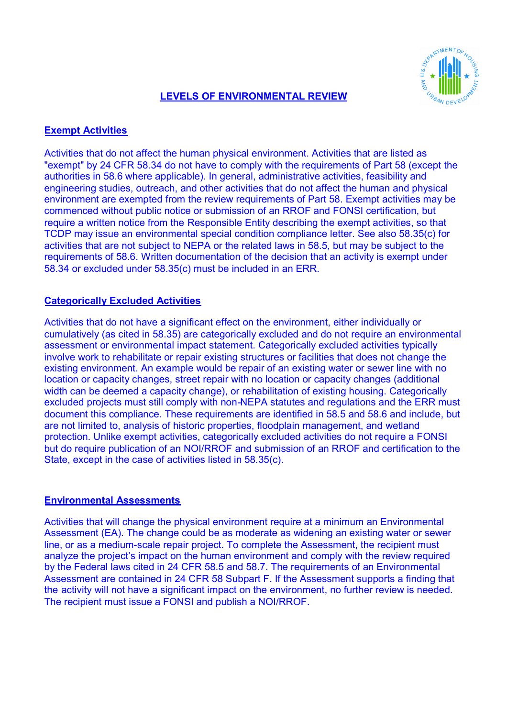# REAL AVENTO

# **LEVELS OF ENVIRONMENTAL REVIEW**

# **Exempt Activities**

Activities that do not affect the human physical environment. Activities that are listed as "exempt" by 24 CFR 58.34 do not have to comply with the requirements of Part 58 (except the authorities in 58.6 where applicable). In general, administrative activities, feasibility and engineering studies, outreach, and other activities that do not affect the human and physical environment are exempted from the review requirements of Part 58. Exempt activities may be commenced without public notice or submission of an RROF and FONSI certification, but require a written notice from the Responsible Entity describing the exempt activities, so that TCDP may issue an environmental special condition compliance letter. See also 58.35(c) for activities that are not subject to NEPA or the related laws in 58.5, but may be subject to the requirements of 58.6. Written documentation of the decision that an activity is exempt under 58.34 or excluded under 58.35(c) must be included in an ERR.

## **Categorically Excluded Activities**

Activities that do not have a significant effect on the environment, either individually or cumulatively (as cited in 58.35) are categorically excluded and do not require an environmental assessment or environmental impact statement. Categorically excluded activities typically involve work to rehabilitate or repair existing structures or facilities that does not change the existing environment. An example would be repair of an existing water or sewer line with no location or capacity changes, street repair with no location or capacity changes (additional width can be deemed a capacity change), or rehabilitation of existing housing. Categorically excluded projects must still comply with non-NEPA statutes and regulations and the ERR must document this compliance. These requirements are identified in 58.5 and 58.6 and include, but are not limited to, analysis of historic properties, floodplain management, and wetland protection. Unlike exempt activities, categorically excluded activities do not require a FONSI but do require publication of an NOI/RROF and submission of an RROF and certification to the State, except in the case of activities listed in 58.35(c).

## **Environmental Assessments**

Activities that will change the physical environment require at a minimum an Environmental Assessment (EA). The change could be as moderate as widening an existing water or sewer line, or as a medium-scale repair project. To complete the Assessment, the recipient must analyze the project's impact on the human environment and comply with the review required by the Federal laws cited in 24 CFR 58.5 and 58.7. The requirements of an Environmental Assessment are contained in 24 CFR 58 Subpart F. If the Assessment supports a finding that the activity will not have a significant impact on the environment, no further review is needed. The recipient must issue a FONSI and publish a NOI/RROF.